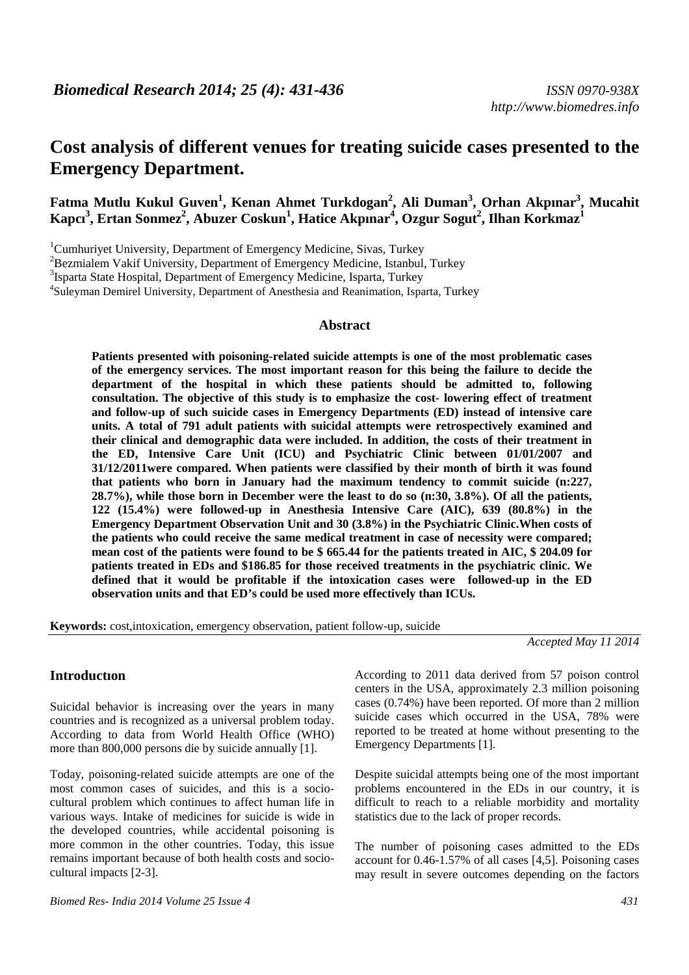# **Cost analysis of different venues for treating suicide cases presented to the Emergency Department.**

**Fatma Mutlu Kukul Guven<sup>1</sup> , Kenan Ahmet Turkdogan<sup>2</sup> , Ali Duman<sup>3</sup> , Orhan Akpınar<sup>3</sup> , Mucahit Kapcı<sup>3</sup> , Ertan Sonmez<sup>2</sup> , Abuzer Coskun<sup>1</sup> , Hatice Akpınar<sup>4</sup> , Ozgur Sogut<sup>2</sup> , Ilhan Korkmaz<sup>1</sup>**

<sup>1</sup>Cumhuriyet University, Department of Emergency Medicine, Sivas, Turkey

<sup>2</sup>Bezmialem Vakif University, Department of Emergency Medicine, Istanbul, Turkey

<sup>3</sup>Isparta State Hospital, Department of Emergency Medicine, Isparta, Turkey

4 Suleyman Demirel University, Department of Anesthesia and Reanimation, Isparta, Turkey

#### **Abstract**

**Patients presented with poisoning-related suicide attempts is one of the most problematic cases of the emergency services. The most important reason for this being the failure to decide the department of the hospital in which these patients should be admitted to, following consultation. The objective of this study is to emphasize the cost- lowering effect of treatment and follow-up of such suicide cases in Emergency Departments (ED) instead of intensive care units. A total of 791 adult patients with suicidal attempts were retrospectively examined and their clinical and demographic data were included. In addition, the costs of their treatment in the ED, Intensive Care Unit (ICU) and Psychiatric Clinic between 01/01/2007 and 31/12/2011were compared. When patients were classified by their month of birth it was found that patients who born in January had the maximum tendency to commit suicide (n:227, 28.7%), while those born in December were the least to do so (n:30, 3.8%). Of all the patients, 122 (15.4%) were followed-up in Anesthesia Intensive Care (AIC), 639 (80.8%) in the Emergency Department Observation Unit and 30 (3.8%) in the Psychiatric Clinic.When costs of the patients who could receive the same medical treatment in case of necessity were compared; mean cost of the patients were found to be \$ 665.44 for the patients treated in AIC, \$ 204.09 for patients treated in EDs and \$186.85 for those received treatments in the psychiatric clinic. We defined that it would be profitable if the intoxication cases were followed-up in the ED observation units and that ED's could be used more effectively than ICUs.** 

**Keywords:** cost,intoxication, emergency observation, patient follow-up, suicide

*Accepted May 11 2014* 

### **Introductıon**

Suicidal behavior is increasing over the years in many countries and is recognized as a universal problem today. According to data from World Health Office (WHO) more than 800,000 persons die by suicide annually [1].

Today, poisoning-related suicide attempts are one of the most common cases of suicides, and this is a sociocultural problem which continues to affect human life in various ways. Intake of medicines for suicide is wide in the developed countries, while accidental poisoning is more common in the other countries. Today, this issue remains important because of both health costs and sociocultural impacts [2-3].

*Biomed Res- India 2014 Volume 25 Issue 4 431* 

According to 2011 data derived from 57 poison control centers in the USA, approximately 2.3 million poisoning cases (0.74%) have been reported. Of more than 2 million suicide cases which occurred in the USA, 78% were reported to be treated at home without presenting to the Emergency Departments [1].

Despite suicidal attempts being one of the most important problems encountered in the EDs in our country, it is difficult to reach to a reliable morbidity and mortality statistics due to the lack of proper records.

The number of poisoning cases admitted to the EDs account for 0.46-1.57% of all cases [4,5]. Poisoning cases may result in severe outcomes depending on the factors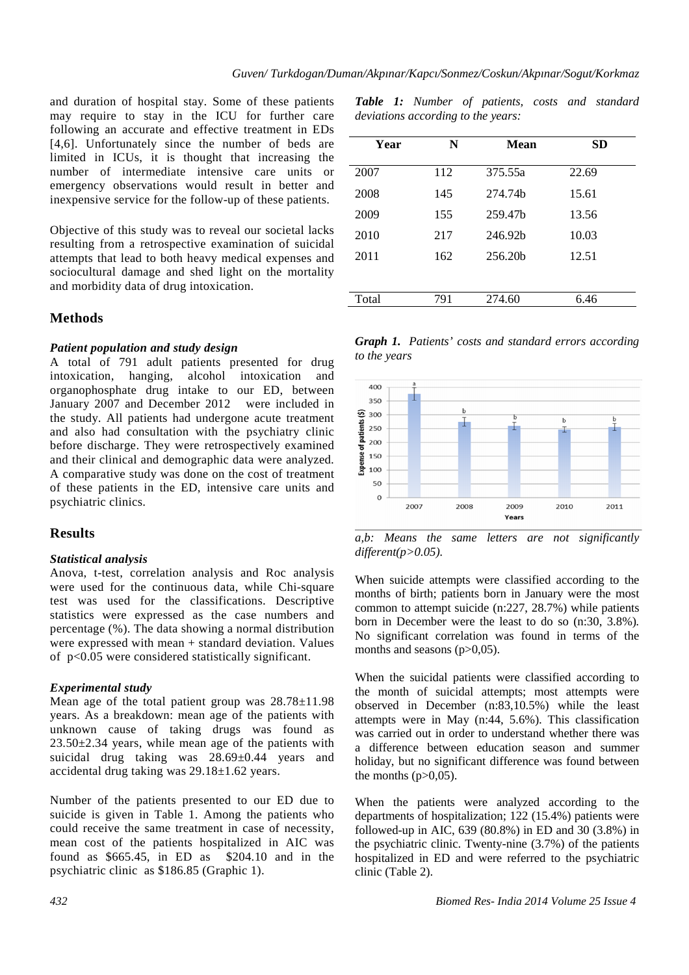and duration of hospital stay. Some of these patients may require to stay in the ICU for further care following an accurate and effective treatment in EDs [4,6]. Unfortunately since the number of beds are limited in ICUs, it is thought that increasing the number of intermediate intensive care units or emergency observations would result in better and inexpensive service for the follow-up of these patients.

Objective of this study was to reveal our societal lacks resulting from a retrospective examination of suicidal attempts that lead to both heavy medical expenses and sociocultural damage and shed light on the mortality and morbidity data of drug intoxication.

# **Methods**

### *Patient population and study design*

A total of 791 adult patients presented for drug intoxication, hanging, alcohol intoxication and organophosphate drug intake to our ED, between January 2007 and December 2012 were included in the study. All patients had undergone acute treatment and also had consultation with the psychiatry clinic before discharge. They were retrospectively examined and their clinical and demographic data were analyzed. A comparative study was done on the cost of treatment of these patients in the ED, intensive care units and psychiatric clinics.

### **Results**

### *Statistical analysis*

Anova, t-test, correlation analysis and Roc analysis were used for the continuous data, while Chi-square test was used for the classifications. Descriptive statistics were expressed as the case numbers and percentage (%). The data showing a normal distribution were expressed with mean + standard deviation. Values of p<0.05 were considered statistically significant.

### *Experimental study*

Mean age of the total patient group was 28.78±11.98 years. As a breakdown: mean age of the patients with unknown cause of taking drugs was found as 23.50±2.34 years, while mean age of the patients with suicidal drug taking was 28.69±0.44 years and accidental drug taking was 29.18±1.62 years.

Number of the patients presented to our ED due to suicide is given in Table 1. Among the patients who could receive the same treatment in case of necessity, mean cost of the patients hospitalized in AIC was found as  $$665.45$ , in ED as  $$204.10$  and in the psychiatric clinic as \$186.85 (Graphic 1).

| Year  | N   | <b>Mean</b> | <b>SD</b> |
|-------|-----|-------------|-----------|
| 2007  | 112 | 375.55a     | 22.69     |
| 2008  | 145 | 274.74h     | 15.61     |
| 2009  | 155 | 259.47b     | 13.56     |
| 2010  | 217 | 246.92b     | 10.03     |
| 2011  | 162 | 256.20b     | 12.51     |
|       |     |             |           |
| Total | 791 | 274.60      | 6.46      |
|       |     |             |           |

*Graph 1. Patients' costs and standard errors according to the years* 



*a,b: Means the same letters are not significantly different(p>0.05).* 

When suicide attempts were classified according to the months of birth; patients born in January were the most common to attempt suicide (n:227, 28.7%) while patients born in December were the least to do so (n:30, 3.8%)*.* No significant correlation was found in terms of the months and seasons  $(p>0.05)$ .

When the suicidal patients were classified according to the month of suicidal attempts; most attempts were observed in December (n:83,10.5%) while the least attempts were in May (n:44, 5.6%). This classification was carried out in order to understand whether there was a difference between education season and summer holiday, but no significant difference was found between the months  $(p>0,05)$ .

When the patients were analyzed according to the departments of hospitalization; 122 (15.4%) patients were followed-up in AIC, 639 (80.8%) in ED and 30 (3.8%) in the psychiatric clinic. Twenty-nine (3.7%) of the patients hospitalized in ED and were referred to the psychiatric clinic (Table 2).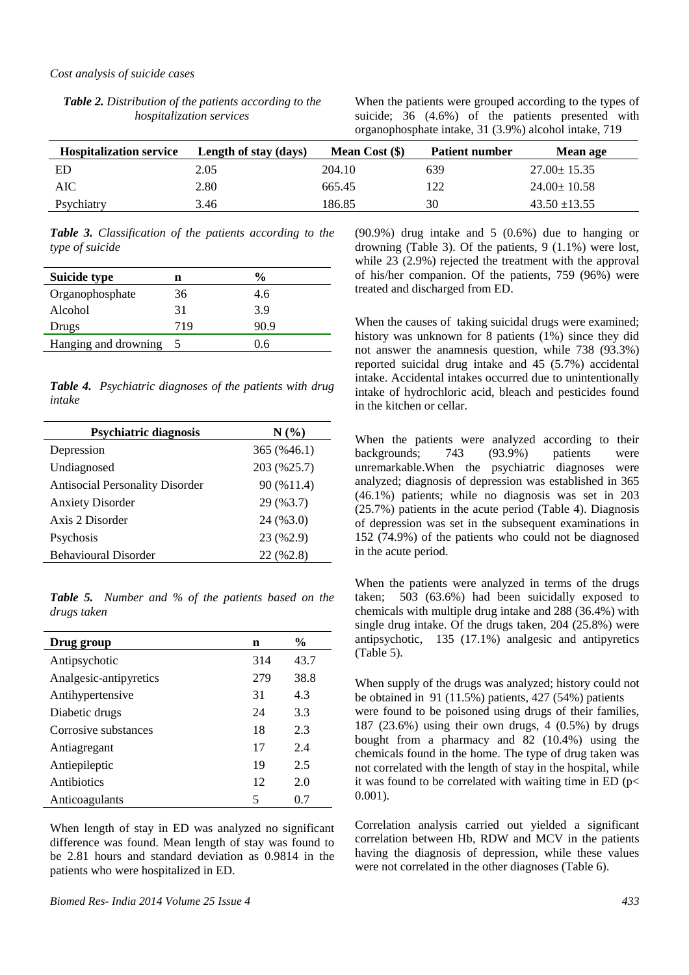| <b>Table 2.</b> Distribution of the patients according to the |
|---------------------------------------------------------------|
| <i>hospitalization services</i>                               |

When the patients were grouped according to the types of suicide; 36 (4.6%) of the patients presented with organophosphate intake, 31 (3.9%) alcohol intake, 719

| <b>Hospitalization service</b> | Length of stay (days) | Mean Cost $(\$)$ | <b>Patient number</b> | Mean age          |
|--------------------------------|-----------------------|------------------|-----------------------|-------------------|
| ED                             | 2.05                  | 204.10           | 639                   | $27.00 \pm 15.35$ |
| AIC                            | 2.80                  | 665.45           | 122                   | $24.00 \pm 10.58$ |
| Psychiatry                     | 3.46                  | 186.85           | 30                    | $43.50 \pm 13.55$ |

*Table 3. Classification of the patients according to the type of suicide* 

| Suicide type         | n   | %    |
|----------------------|-----|------|
| Organophosphate      | 36  | 4.6  |
| Alcohol              | 31  | 3.9  |
| Drugs                | 719 | 90.9 |
| Hanging and drowning |     | 0.6  |

*Table 4. Psychiatric diagnoses of the patients with drug intake* 

| <b>Psychiatric diagnosis</b>           | N(%         |
|----------------------------------------|-------------|
| Depression                             | 365 (%46.1) |
| Undiagnosed                            | 203 (%25.7) |
| <b>Antisocial Personality Disorder</b> | 90 (%11.4)  |
| <b>Anxiety Disorder</b>                | 29 (%3.7)   |
| Axis 2 Disorder                        | 24 (%3.0)   |
| Psychosis                              | 23 (%2.9)   |
| <b>Behavioural Disorder</b>            | 22 (%2.8)   |

*Table 5. Number and % of the patients based on the drugs taken* 

| Drug group             | n   | $\frac{6}{9}$ |
|------------------------|-----|---------------|
| Antipsychotic          | 314 | 43.7          |
| Analgesic-antipyretics | 279 | 38.8          |
| Antihypertensive       | 31  | 4.3           |
| Diabetic drugs         | 24  | 3.3           |
| Corrosive substances   | 18  | 2.3           |
| Antiagregant           | 17  | 2.4           |
| Antiepileptic          | 19  | 2.5           |
| Antibiotics            | 12  | 2.0           |
| Anticoagulants         | 5   | 0.7           |

When length of stay in ED was analyzed no significant difference was found. Mean length of stay was found to be 2.81 hours and standard deviation as 0.9814 in the patients who were hospitalized in ED.

(90.9%) drug intake and 5 (0.6%) due to hanging or drowning (Table 3). Of the patients, 9 (1.1%) were lost, while 23 (2.9%) rejected the treatment with the approval of his/her companion. Of the patients, 759 (96%) were treated and discharged from ED.

When the causes of taking suicidal drugs were examined; history was unknown for 8 patients (1%) since they did not answer the anamnesis question, while 738 (93.3%) reported suicidal drug intake and 45 (5.7%) accidental intake. Accidental intakes occurred due to unintentionally intake of hydrochloric acid, bleach and pesticides found in the kitchen or cellar.

When the patients were analyzed according to their backgrounds; 743 (93.9%) patients were unremarkable.When the psychiatric diagnoses were analyzed; diagnosis of depression was established in 365 (46.1%) patients; while no diagnosis was set in 203 (25.7%) patients in the acute period (Table 4). Diagnosis of depression was set in the subsequent examinations in 152 (74.9%) of the patients who could not be diagnosed in the acute period.

When the patients were analyzed in terms of the drugs taken; 503 (63.6%) had been suicidally exposed to chemicals with multiple drug intake and 288 (36.4%) with single drug intake. Of the drugs taken, 204 (25.8%) were antipsychotic, 135 (17.1%) analgesic and antipyretics (Table 5).

When supply of the drugs was analyzed; history could not be obtained in 91 (11.5%) patients, 427 (54%) patients were found to be poisoned using drugs of their families, 187 (23.6%) using their own drugs, 4 (0.5%) by drugs bought from a pharmacy and 82 (10.4%) using the chemicals found in the home. The type of drug taken was not correlated with the length of stay in the hospital, while it was found to be correlated with waiting time in ED ( $p$  < 0.001).

Correlation analysis carried out yielded a significant correlation between Hb, RDW and MCV in the patients having the diagnosis of depression, while these values were not correlated in the other diagnoses (Table 6).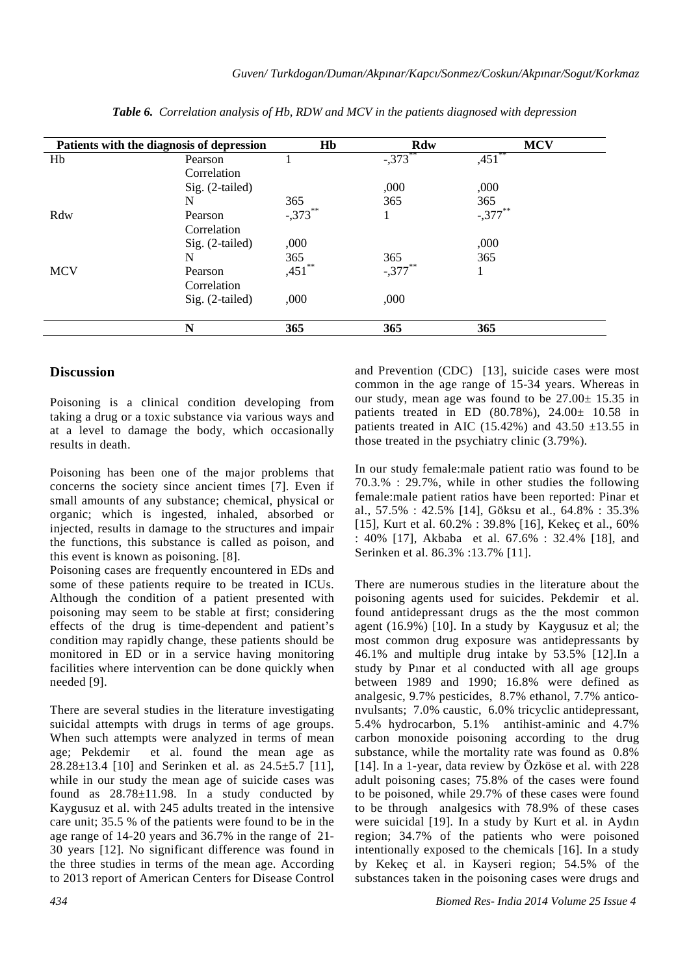|            | Patients with the diagnosis of depression | Hb         | Rdw        | <b>MCV</b> |
|------------|-------------------------------------------|------------|------------|------------|
| Hb         | Pearson                                   |            | $-.373$    | ,451       |
|            | Correlation                               |            |            |            |
|            | Sig. (2-tailed)                           |            | ,000       | ,000       |
|            | N                                         | 365        | 365        | 365        |
| Rdw        | Pearson                                   | $-.373$ ** |            | $-.377$ ** |
|            | Correlation                               |            |            |            |
|            | $Sig. (2-tailed)$                         | ,000       |            | ,000       |
|            | N                                         | 365        | 365        | 365        |
| <b>MCV</b> | Pearson                                   | **<br>,451 | $-.377***$ | 1          |
|            | Correlation                               |            |            |            |
|            | $Sig. (2-tailed)$                         | ,000       | ,000       |            |
|            | N                                         | 365        | 365        | 365        |

*Table 6. Correlation analysis of Hb, RDW and MCV in the patients diagnosed with depression* 

# **Discussion**

Poisoning is a clinical condition developing from taking a drug or a toxic substance via various ways and at a level to damage the body, which occasionally results in death.

Poisoning has been one of the major problems that concerns the society since ancient times [7]. Even if small amounts of any substance; chemical, physical or organic; which is ingested, inhaled, absorbed or injected, results in damage to the structures and impair the functions, this substance is called as poison, and this event is known as poisoning. [8].

Poisoning cases are frequently encountered in EDs and some of these patients require to be treated in ICUs. Although the condition of a patient presented with poisoning may seem to be stable at first; considering effects of the drug is time-dependent and patient's condition may rapidly change, these patients should be monitored in ED or in a service having monitoring facilities where intervention can be done quickly when needed [9].

There are several studies in the literature investigating suicidal attempts with drugs in terms of age groups. When such attempts were analyzed in terms of mean age; Pekdemir et al. found the mean age as  $28.28 \pm 13.4$  [10] and Serinken et al. as  $24.5 \pm 5.7$  [11], while in our study the mean age of suicide cases was found as  $28.78 \pm 11.98$ . In a study conducted by Kaygusuz et al. with 245 adults treated in the intensive care unit; 35.5 % of the patients were found to be in the age range of 14-20 years and 36.7% in the range of 21- 30 years [12]. No significant difference was found in the three studies in terms of the mean age. According to 2013 report of American Centers for Disease Control and Prevention (CDC) [13], suicide cases were most common in the age range of 15-34 years. Whereas in our study, mean age was found to be  $27.00 \pm 15.35$  in patients treated in ED  $(80.78\%)$ ,  $24.00 \pm 10.58$  in patients treated in AIC (15.42%) and 43.50  $\pm$ 13.55 in those treated in the psychiatry clinic (3.79%).

In our study female:male patient ratio was found to be 70.3.% : 29.7%, while in other studies the following female:male patient ratios have been reported: Pinar et al., 57.5% : 42.5% [14], Göksu et al., 64.8% : 35.3% [15], Kurt et al. 60.2% : 39.8% [16], Kekeç et al., 60% : 40% [17], Akbaba et al. 67.6% : 32.4% [18], and Serinken et al. 86.3% :13.7% [11].

There are numerous studies in the literature about the poisoning agents used for suicides. Pekdemir et al. found antidepressant drugs as the the most common agent (16.9%) [10]. In a study by Kaygusuz et al; the most common drug exposure was antidepressants by 46.1% and multiple drug intake by 53.5% [12].In a study by Pınar et al conducted with all age groups between 1989 and 1990; 16.8% were defined as analgesic, 9.7% pesticides, 8.7% ethanol, 7.7% anticonvulsants; 7.0% caustic, 6.0% tricyclic antidepressant, 5.4% hydrocarbon, 5.1% antihist-aminic and 4.7% carbon monoxide poisoning according to the drug substance, while the mortality rate was found as 0.8% [14]. In a 1-year, data review by Özköse et al. with 228 adult poisoning cases; 75.8% of the cases were found to be poisoned, while 29.7% of these cases were found to be through analgesics with 78.9% of these cases were suicidal [19]. In a study by Kurt et al. in Aydın region; 34.7% of the patients who were poisoned intentionally exposed to the chemicals [16]. In a study by Kekeç et al. in Kayseri region; 54.5% of the substances taken in the poisoning cases were drugs and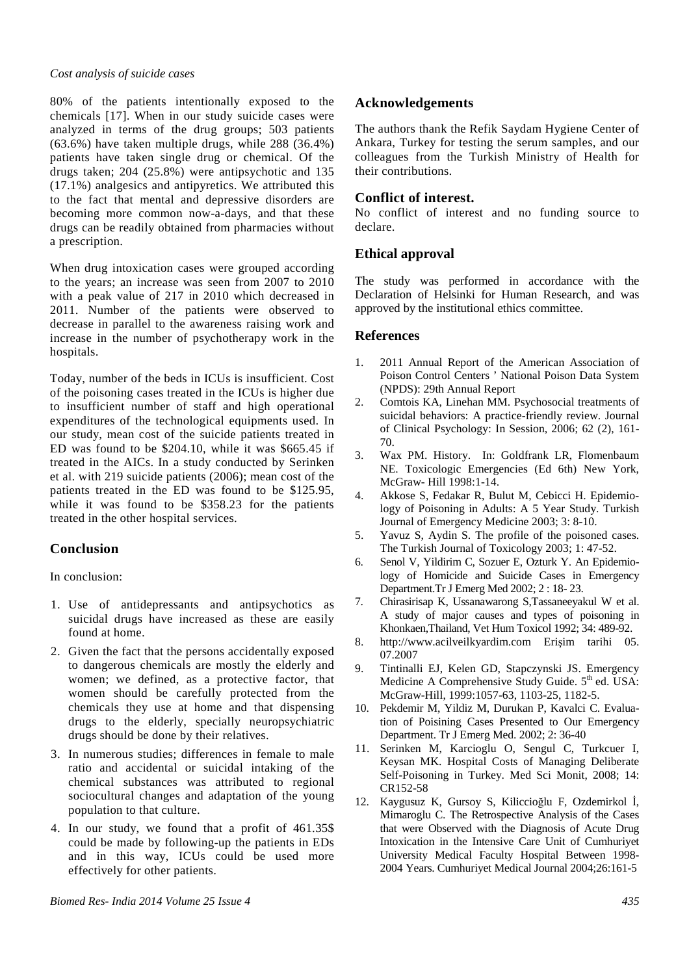#### *Cost analysis of suicide cases*

80% of the patients intentionally exposed to the chemicals [17]. When in our study suicide cases were analyzed in terms of the drug groups; 503 patients (63.6%) have taken multiple drugs, while 288 (36.4%) patients have taken single drug or chemical. Of the drugs taken; 204 (25.8%) were antipsychotic and 135 (17.1%) analgesics and antipyretics. We attributed this to the fact that mental and depressive disorders are becoming more common now-a-days, and that these drugs can be readily obtained from pharmacies without a prescription.

When drug intoxication cases were grouped according to the years; an increase was seen from 2007 to 2010 with a peak value of 217 in 2010 which decreased in 2011. Number of the patients were observed to decrease in parallel to the awareness raising work and increase in the number of psychotherapy work in the hospitals.

Today, number of the beds in ICUs is insufficient. Cost of the poisoning cases treated in the ICUs is higher due to insufficient number of staff and high operational expenditures of the technological equipments used. In our study, mean cost of the suicide patients treated in ED was found to be \$204.10, while it was \$665.45 if treated in the AICs. In a study conducted by Serinken et al. with 219 suicide patients (2006); mean cost of the patients treated in the ED was found to be \$125.95, while it was found to be \$358.23 for the patients treated in the other hospital services.

# **Conclusion**

In conclusion:

- 1. Use of antidepressants and antipsychotics as suicidal drugs have increased as these are easily found at home.
- 2. Given the fact that the persons accidentally exposed to dangerous chemicals are mostly the elderly and women; we defined, as a protective factor, that women should be carefully protected from the chemicals they use at home and that dispensing drugs to the elderly, specially neuropsychiatric drugs should be done by their relatives.
- 3. In numerous studies; differences in female to male ratio and accidental or suicidal intaking of the chemical substances was attributed to regional sociocultural changes and adaptation of the young population to that culture.
- 4. In our study, we found that a profit of 461.35\$ could be made by following-up the patients in EDs and in this way, ICUs could be used more effectively for other patients.

# **Acknowledgements**

The authors thank the Refik Saydam Hygiene Center of Ankara, Turkey for testing the serum samples, and our colleagues from the Turkish Ministry of Health for their contributions.

### **Conflict of interest.**

No conflict of interest and no funding source to declare.

### **Ethical approval**

The study was performed in accordance with the Declaration of Helsinki for Human Research, and was approved by the institutional ethics committee.

### **References**

- 1. 2011 Annual Report of the American Association of Poison Control Centers ' National Poison Data System (NPDS): 29th Annual Report
- 2. Comtois KA, Linehan MM. Psychosocial treatments of suicidal behaviors: A practice-friendly review. Journal of Clinical Psychology: In Session, 2006; 62 (2), 161- 70.
- 3. Wax PM. History. In: Goldfrank LR, Flomenbaum NE. Toxicologic Emergencies (Ed 6th) New York, McGraw- Hill 1998:1-14.
- 4. Akkose S, Fedakar R, Bulut M, Cebicci H. Epidemiology of Poisoning in Adults: A 5 Year Study. Turkish Journal of Emergency Medicine 2003; 3: 8-10.
- 5. Yavuz S, Aydin S. The profile of the poisoned cases. The Turkish Journal of Toxicology 2003; 1: 47-52.
- 6. Senol V, Yildirim C, Sozuer E, Ozturk Y. An Epidemiology of Homicide and Suicide Cases in Emergency Department.Tr J Emerg Med 2002; 2 : 18- 23.
- 7. Chirasirisap K, Ussanawarong S,Tassaneeyakul W et al. A study of major causes and types of poisoning in Khonkaen,Thailand, Vet Hum Toxicol 1992; 34: 489-92.
- 8. http://www.acilveilkyardim.com Erişim tarihi 05. 07.2007
- 9. Tintinalli EJ, Kelen GD, Stapczynski JS. Emergency Medicine A Comprehensive Study Guide. 5<sup>th</sup> ed. USA: McGraw-Hill, 1999:1057-63, 1103-25, 1182-5.
- 10. Pekdemir M, Yildiz M, Durukan P, Kavalci C. Evaluation of Poisining Cases Presented to Our Emergency Department. Tr J Emerg Med. 2002; 2: 36-40
- 11. Serinken M, Karcioglu O, Sengul C, Turkcuer I, Keysan MK. Hospital Costs of Managing Deliberate Self-Poisoning in Turkey. Med Sci Monit, 2008; 14: CR152-58
- 12. Kaygusuz K, Gursoy S, Kiliccioğlu F, Ozdemirkol İ, Mimaroglu C. The Retrospective Analysis of the Cases that were Observed with the Diagnosis of Acute Drug Intoxication in the Intensive Care Unit of Cumhuriyet University Medical Faculty Hospital Between 1998- 2004 Years. Cumhuriyet Medical Journal 2004;26:161-5

*Biomed Res- India 2014 Volume 25 Issue 4 435*